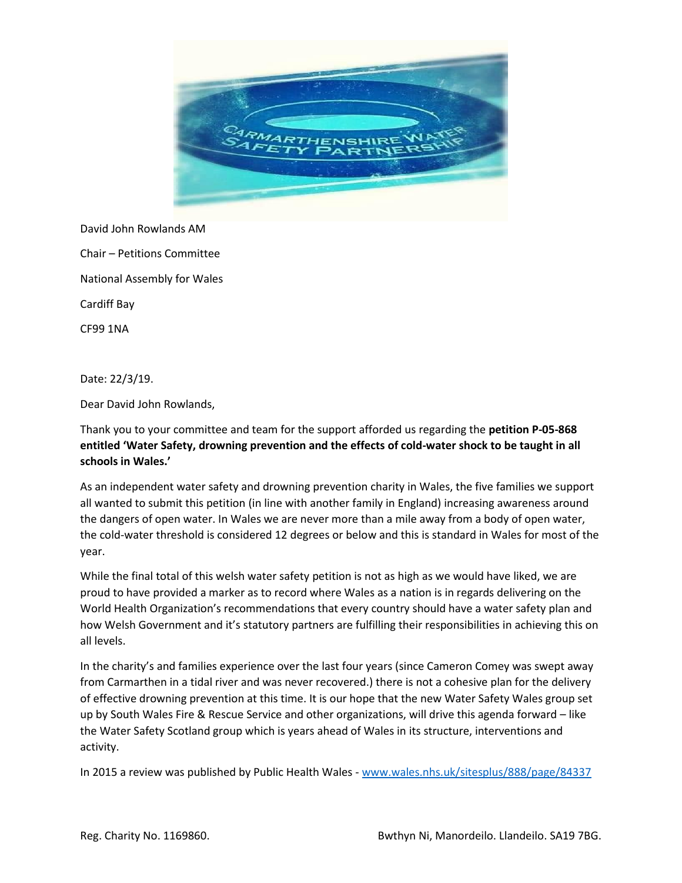

David John Rowlands AM Chair – Petitions Committee National Assembly for Wales Cardiff Bay CF99 1NA

Date: 22/3/19.

Dear David John Rowlands,

Thank you to your committee and team for the support afforded us regarding the **petition P-05-868 entitled 'Water Safety, drowning prevention and the effects of cold-water shock to be taught in all schools in Wales.'**

As an independent water safety and drowning prevention charity in Wales, the five families we support all wanted to submit this petition (in line with another family in England) increasing awareness around the dangers of open water. In Wales we are never more than a mile away from a body of open water, the cold-water threshold is considered 12 degrees or below and this is standard in Wales for most of the year.

While the final total of this welsh water safety petition is not as high as we would have liked, we are proud to have provided a marker as to record where Wales as a nation is in regards delivering on the World Health Organization's recommendations that every country should have a water safety plan and how Welsh Government and it's statutory partners are fulfilling their responsibilities in achieving this on all levels.

In the charity's and families experience over the last four years (since Cameron Comey was swept away from Carmarthen in a tidal river and was never recovered.) there is not a cohesive plan for the delivery of effective drowning prevention at this time. It is our hope that the new Water Safety Wales group set up by South Wales Fire & Rescue Service and other organizations, will drive this agenda forward – like the Water Safety Scotland group which is years ahead of Wales in its structure, interventions and activity.

In 2015 a review was published by Public Health Wales - [www.wales.nhs.uk/sitesplus/888/page/84337](http://www.wales.nhs.uk/sitesplus/888/page/84337)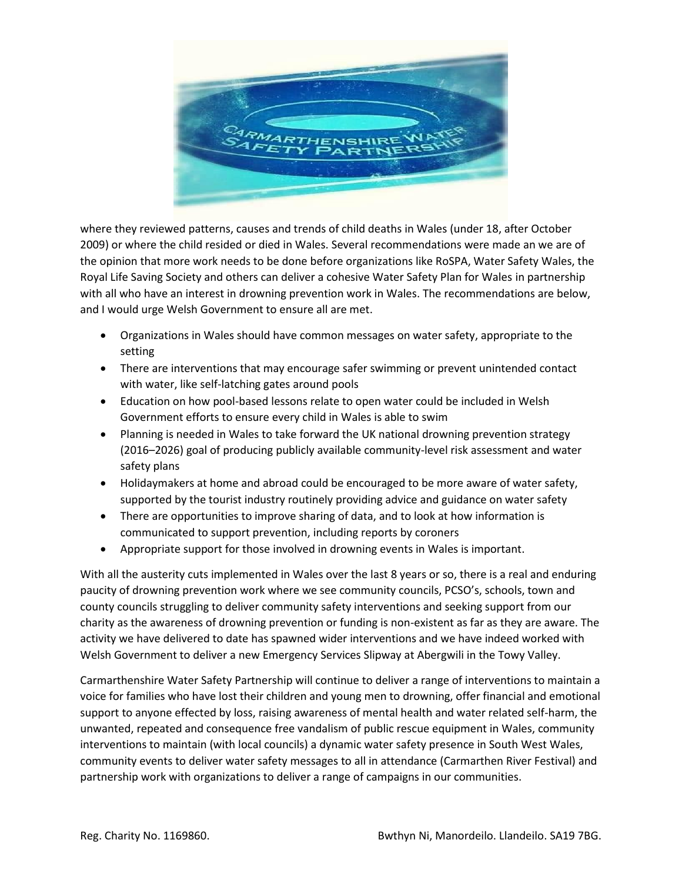

where they reviewed patterns, causes and trends of child deaths in Wales (under 18, after October 2009) or where the child resided or died in Wales. Several recommendations were made an we are of the opinion that more work needs to be done before organizations like RoSPA, Water Safety Wales, the Royal Life Saving Society and others can deliver a cohesive Water Safety Plan for Wales in partnership with all who have an interest in drowning prevention work in Wales. The recommendations are below, and I would urge Welsh Government to ensure all are met.

- Organizations in Wales should have common messages on water safety, appropriate to the setting
- There are interventions that may encourage safer swimming or prevent unintended contact with water, like self-latching gates around pools
- Education on how pool-based lessons relate to open water could be included in Welsh Government efforts to ensure every child in Wales is able to swim
- Planning is needed in Wales to take forward the UK national drowning prevention strategy (2016–2026) goal of producing publicly available community-level risk assessment and water safety plans
- Holidaymakers at home and abroad could be encouraged to be more aware of water safety, supported by the tourist industry routinely providing advice and guidance on water safety
- There are opportunities to improve sharing of data, and to look at how information is communicated to support prevention, including reports by coroners
- Appropriate support for those involved in drowning events in Wales is important.

With all the austerity cuts implemented in Wales over the last 8 years or so, there is a real and enduring paucity of drowning prevention work where we see community councils, PCSO's, schools, town and county councils struggling to deliver community safety interventions and seeking support from our charity as the awareness of drowning prevention or funding is non-existent as far as they are aware. The activity we have delivered to date has spawned wider interventions and we have indeed worked with Welsh Government to deliver a new Emergency Services Slipway at Abergwili in the Towy Valley.

Carmarthenshire Water Safety Partnership will continue to deliver a range of interventions to maintain a voice for families who have lost their children and young men to drowning, offer financial and emotional support to anyone effected by loss, raising awareness of mental health and water related self-harm, the unwanted, repeated and consequence free vandalism of public rescue equipment in Wales, community interventions to maintain (with local councils) a dynamic water safety presence in South West Wales, community events to deliver water safety messages to all in attendance (Carmarthen River Festival) and partnership work with organizations to deliver a range of campaigns in our communities.